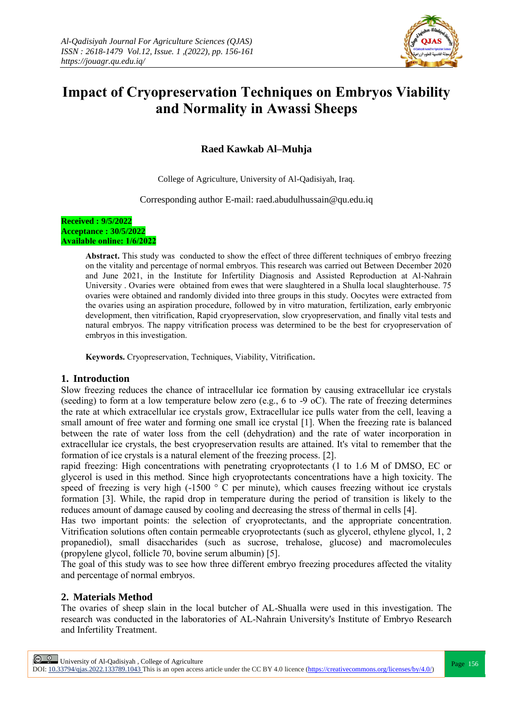

# **Impact of Cryopreservation Techniques on Embryos Viability and Normality in Awassi Sheeps**

# **Raed Kawkab Al–Muhja**

College of Agriculture, University of Al-Qadisiyah, Iraq.

Corresponding author E-mail: raed.abudulhussain@qu.edu.iq

#### **Received : 9/5/2022 Acceptance : 30/5/2022 Available online: 1/6/2022**

**Abstract.** This study was conducted to show the effect of three different techniques of embryo freezing on the vitality and percentage of normal embryos. This research was carried out Between December 2020 and June 2021, in the Institute for Infertility Diagnosis and Assisted Reproduction at Al-Nahrain University . Ovaries were obtained from ewes that were slaughtered in a Shulla local slaughterhouse. 75 ovaries were obtained and randomly divided into three groups in this study. Oocytes were extracted from the ovaries using an aspiration procedure, followed by in vitro maturation, fertilization, early embryonic development, then vitrification, Rapid cryopreservation, slow cryopreservation, and finally vital tests and natural embryos. The nappy vitrification process was determined to be the best for cryopreservation of embryos in this investigation.

**Keywords.** Cryopreservation, Techniques, Viability, Vitrification.

## **1. Introduction**

Slow freezing reduces the chance of intracellular ice formation by causing extracellular ice crystals (seeding) to form at a low temperature below zero (e.g., 6 to -9 oC). The rate of freezing determines the rate at which extracellular ice crystals grow, Extracellular ice pulls water from the cell, leaving a small amount of free water and forming one small ice crystal [1]. When the freezing rate is balanced between the rate of water loss from the cell (dehydration) and the rate of water incorporation in extracellular ice crystals, the best cryopreservation results are attained. It's vital to remember that the formation of ice crystals is a natural element of the freezing process. [2].

rapid freezing: High concentrations with penetrating cryoprotectants (1 to 1.6 M of DMSO, EC or glycerol is used in this method. Since high cryoprotectants concentrations have a high toxicity. The speed of freezing is very high  $(-1500 \degree C$  per minute), which causes freezing without ice crystals formation [3]. While, the rapid drop in temperature during the period of transition is likely to the reduces amount of damage caused by cooling and decreasing the stress of thermal in cells [4].

Has two important points: the selection of cryoprotectants, and the appropriate concentration. Vitrification solutions often contain permeable cryoprotectants (such as glycerol, ethylene glycol, 1, 2 propanediol), small disaccharides (such as sucrose, trehalose, glucose) and macromolecules (propylene glycol, follicle 70, bovine serum albumin) [5].

The goal of this study was to see how three different embryo freezing procedures affected the vitality and percentage of normal embryos.

# **2. Materials Method**

The ovaries of sheep slain in the local butcher of AL-Shualla were used in this investigation. The research was conducted in the laboratories of AL-Nahrain University's Institute of Embryo Research and Infertility Treatment.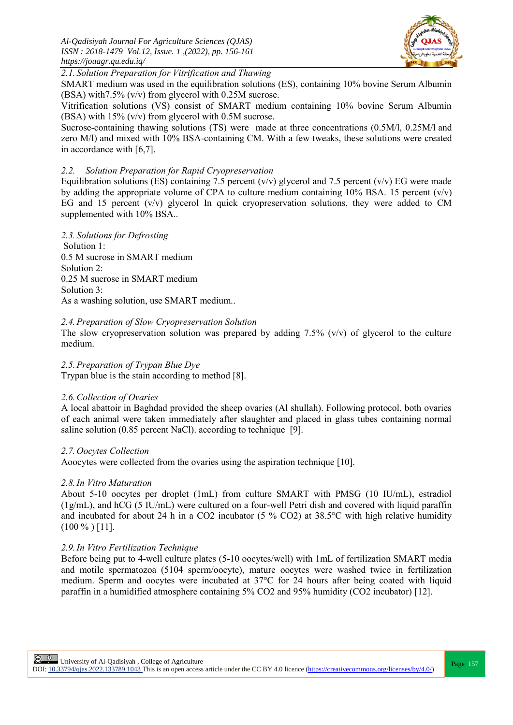

*2.1. Solution Preparation for Vitrification and Thawing*

SMART medium was used in the equilibration solutions (ES), containing 10% bovine Serum Albumin (BSA) with7.5% (v/v) from glycerol with 0.25M sucrose.

Vitrification solutions (VS) consist of SMART medium containing 10% bovine Serum Albumin (BSA) with 15% (v/v) from glycerol with 0.5M sucrose.

Sucrose-containing thawing solutions (TS) were made at three concentrations (0.5M/l, 0.25M/l and zero M/l) and mixed with 10% BSA-containing CM. With a few tweaks, these solutions were created in accordance with [6,7].

### *2.2. Solution Preparation for Rapid Cryopreservation*

Equilibration solutions (ES) containing 7.5 percent (v/v) glycerol and 7.5 percent (v/v) EG were made by adding the appropriate volume of CPA to culture medium containing 10% BSA. 15 percent  $(v/v)$ EG and 15 percent  $(v/v)$  glycerol In quick cryopreservation solutions, they were added to CM supplemented with 10% BSA..

*2.3. Solutions for Defrosting*

Solution 1: 0.5 M sucrose in SMART medium Solution 2: 0.25 M sucrose in SMART medium Solution 3: As a washing solution, use SMART medium..

#### *2.4.Preparation of Slow Cryopreservation Solution*

The slow cryopreservation solution was prepared by adding  $7.5\%$  (v/v) of glycerol to the culture medium.

*2.5.Preparation of Trypan Blue Dye* Trypan blue is the stain according to method [8].

#### *2.6.Collection of Ovaries*

A local abattoir in Baghdad provided the sheep ovaries (Al shullah). Following protocol, both ovaries of each animal were taken immediately after slaughter and placed in glass tubes containing normal saline solution (0.85 percent NaCl). according to technique [9].

#### *2.7.Oocytes Collection*

Aoocytes were collected from the ovaries using the aspiration technique [10].

#### *2.8.In Vitro Maturation*

About 5-10 oocytes per droplet (1mL) from culture SMART with PMSG (10 IU/mL), estradiol (1g/mL), and hCG (5 IU/mL) were cultured on a four-well Petri dish and covered with liquid paraffin and incubated for about 24 h in a CO2 incubator (5 % CO2) at 38.5°C with high relative humidity  $(100\%)\,[11]$ .

#### *2.9.In Vitro Fertilization Technique*

Before being put to 4-well culture plates (5-10 oocytes/well) with 1mL of fertilization SMART media and motile spermatozoa (5104 sperm/oocyte), mature oocytes were washed twice in fertilization medium. Sperm and oocytes were incubated at 37°C for 24 hours after being coated with liquid paraffin in a humidified atmosphere containing 5% CO2 and 95% humidity (CO2 incubator) [12].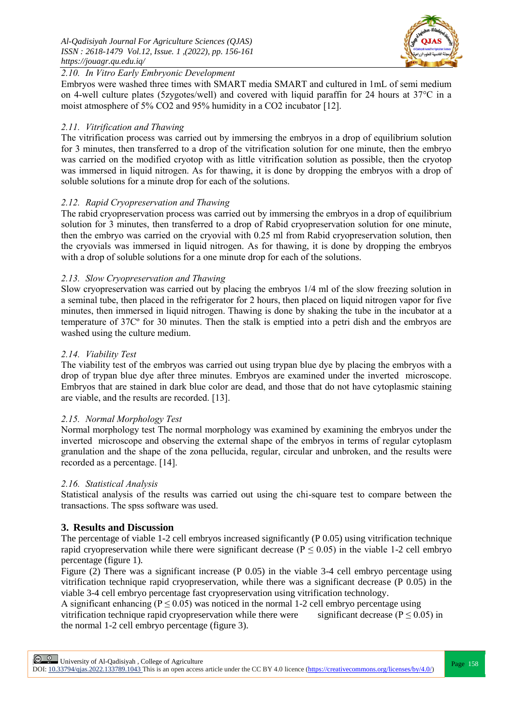

## *2.10. In Vitro Early Embryonic Development*

Embryos were washed three times with SMART media SMART and cultured in 1mL of semi medium on 4-well culture plates (5zygotes/well) and covered with liquid paraffin for 24 hours at 37°C in a moist atmosphere of 5% CO2 and 95% humidity in a CO2 incubator [12].

# *2.11. Vitrification and Thawing*

The vitrification process was carried out by immersing the embryos in a drop of equilibrium solution for 3 minutes, then transferred to a drop of the vitrification solution for one minute, then the embryo was carried on the modified cryotop with as little vitrification solution as possible, then the cryotop was immersed in liquid nitrogen. As for thawing, it is done by dropping the embryos with a drop of soluble solutions for a minute drop for each of the solutions.

## *2.12. Rapid Cryopreservation and Thawing*

The rabid cryopreservation process was carried out by immersing the embryos in a drop of equilibrium solution for 3 minutes, then transferred to a drop of Rabid cryopreservation solution for one minute, then the embryo was carried on the cryovial with 0.25 ml from Rabid cryopreservation solution, then the cryovials was immersed in liquid nitrogen. As for thawing, it is done by dropping the embryos with a drop of soluble solutions for a one minute drop for each of the solutions.

# *2.13. Slow Cryopreservation and Thawing*

Slow cryopreservation was carried out by placing the embryos 1/4 ml of the slow freezing solution in a seminal tube, then placed in the refrigerator for 2 hours, then placed on liquid nitrogen vapor for five minutes, then immersed in liquid nitrogen. Thawing is done by shaking the tube in the incubator at a temperature of 37Cº for 30 minutes. Then the stalk is emptied into a petri dish and the embryos are washed using the culture medium.

# *2.14. Viability Test*

The viability test of the embryos was carried out using trypan blue dye by placing the embryos with a drop of trypan blue dye after three minutes. Embryos are examined under the inverted microscope. Embryos that are stained in dark blue color are dead, and those that do not have cytoplasmic staining are viable, and the results are recorded. [13].

## *2.15. Normal Morphology Test*

Normal morphology test The normal morphology was examined by examining the embryos under the inverted microscope and observing the external shape of the embryos in terms of regular cytoplasm granulation and the shape of the zona pellucida, regular, circular and unbroken, and the results were recorded as a percentage. [14].

## *2.16. Statistical Analysis*

Statistical analysis of the results was carried out using the chi-square test to compare between the transactions. The spss software was used.

# **3. Results and Discussion**

The percentage of viable 1-2 cell embryos increased significantly (P 0.05) using vitrification technique rapid cryopreservation while there were significant decrease ( $P \le 0.05$ ) in the viable 1-2 cell embryo percentage (figure 1).

Figure (2) There was a significant increase (P 0.05) in the viable 3-4 cell embryo percentage using vitrification technique rapid cryopreservation, while there was a significant decrease (P 0.05) in the viable 3-4 cell embryo percentage fast cryopreservation using vitrification technology.

A significant enhancing ( $P \le 0.05$ ) was noticed in the normal 1-2 cell embryo percentage using vitrification technique rapid cryopreservation while there were significant decrease ( $P \le 0.05$ ) in the normal 1-2 cell embryo percentage (figure 3).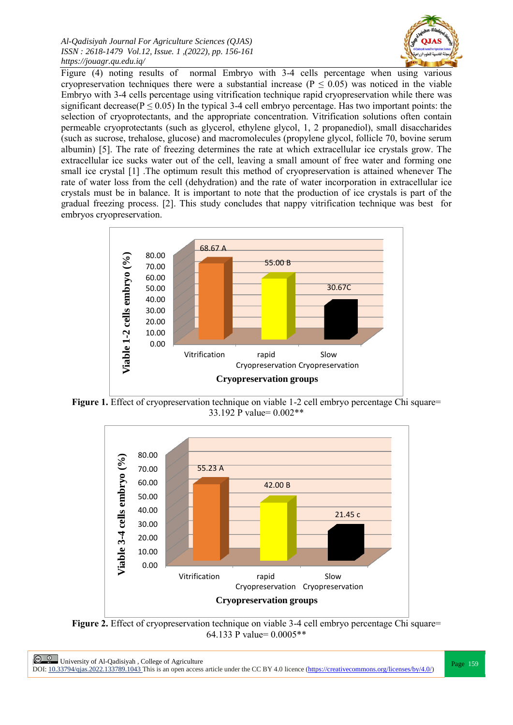*Al-Qadisiyah Journal For Agriculture Sciences (QJAS) ISSN : 2618-1479 Vol.12, Issue. 1 ,(2022), pp. 156-161 https://jouagr.qu.edu.iq/*



Figure (4) noting results of normal Embryo with 3-4 cells percentage when using various cryopreservation techniques there were a substantial increase ( $P \le 0.05$ ) was noticed in the viable Embryo with 3-4 cells percentage using vitrification technique rapid cryopreservation while there was significant decrease( $P \le 0.05$ ) In the typical 3-4 cell embryo percentage. Has two important points: the selection of cryoprotectants, and the appropriate concentration. Vitrification solutions often contain permeable cryoprotectants (such as glycerol, ethylene glycol, 1, 2 propanediol), small disaccharides (such as sucrose, trehalose, glucose) and macromolecules (propylene glycol, follicle 70, bovine serum albumin) [5]. The rate of freezing determines the rate at which extracellular ice crystals grow. The extracellular ice sucks water out of the cell, leaving a small amount of free water and forming one small ice crystal [1] .The optimum result this method of cryopreservation is attained whenever The rate of water loss from the cell (dehydration) and the rate of water incorporation in extracellular ice crystals must be in balance. It is important to note that the production of ice crystals is part of the gradual freezing process. [2]. This study concludes that nappy vitrification technique was best for embryos cryopreservation.



**Figure 1.** Effect of cryopreservation technique on viable 1-2 cell embryo percentage Chi square= 33.192 P value= 0.002\*\*



**Figure 2.** Effect of cryopreservation technique on viable 3-4 cell embryo percentage Chi square= 64.133 P value= 0.0005\*\*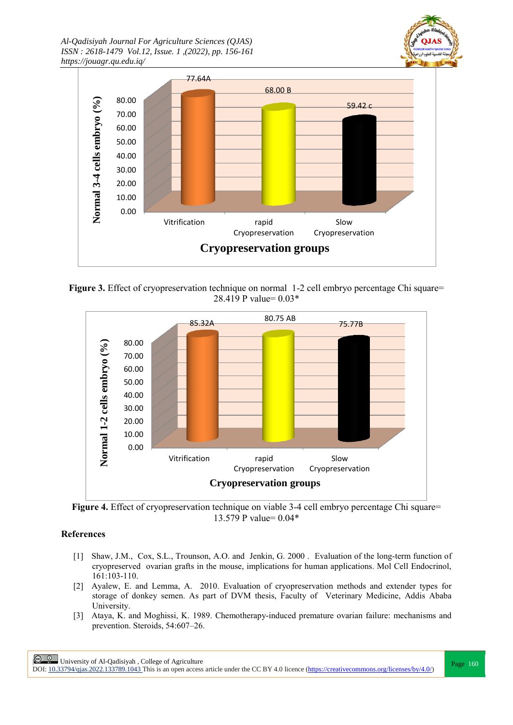*Al-Qadisiyah Journal For Agriculture Sciences (QJAS) ISSN : 2618-1479 Vol.12, Issue. 1 ,(2022), pp. 156-161 https://jouagr.qu.edu.iq/*





Figure 3. Effect of cryopreservation technique on normal 1-2 cell embryo percentage Chi square= 28.419 P value= 0.03\*



**Figure 4.** Effect of cryopreservation technique on viable 3-4 cell embryo percentage Chi square= 13.579 P value= 0.04\*

## **References**

- [1] Shaw, J.M., Cox, S.L., Trounson, A.O. and Jenkin, G. 2000 . Evaluation of the long-term function of cryopreserved ovarian grafts in the mouse, implications for human applications. Mol Cell Endocrinol, 161:103-110.
- [2] Ayalew, E. and Lemma, A. 2010. Evaluation of cryopreservation methods and extender types for storage of donkey semen. As part of DVM thesis, Faculty of Veterinary Medicine, Addis Ababa University.
- [3] [Ataya, K.](http://www.ncbi.nlm.nih.gov/pubmed?term=Ataya%20K%5BAuthor%5D&cauthor=true&cauthor_uid=2558431) and [Moghissi, K.](http://www.ncbi.nlm.nih.gov/pubmed?term=Moghissi%20K%5BAuthor%5D&cauthor=true&cauthor_uid=2558431) 1989. Chemotherapy-induced premature ovarian failure: mechanisms and prevention. Steroids, 54:607–26.

**Page 160**<br>
Page 160<br>
Records the core to a core that all the core of Agriculture<br>
Page 160 DOI:  $10.33794/q$ jas.2022.133789.1043 This is an open access article under the CC BY 4.0 licence (https://creativecommons.org/licenses/by/4.0/)